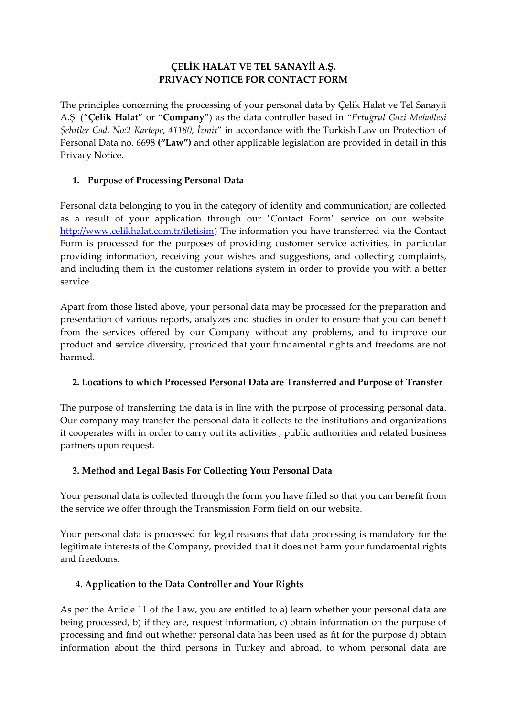### **ÇELİK HALAT VE TEL SANAYİİ A.Ş. PRIVACY NOTICE FOR CONTACT FORM**

The principles concerning the processing of your personal data by Çelik Halat ve Tel Sanayii A.Ş. ("**Çelik Halat**" or "**Company**") as the data controller based in *"Ertuğrul Gazi Mahallesi Şehitler Cad. No:2 Kartepe, 41180, İzmit*" in accordance with the Turkish Law on Protection of Personal Data no. 6698 **("Law")** and other applicable legislation are provided in detail in this Privacy Notice.

### **1. Purpose of Processing Personal Data**

Personal data belonging to you in the category of identity and communication; are collected as a result of your application through our "Contact Form" service on our website. [http://www.celikhalat.com.tr/iletisim\)](http://www.celikhalat.com.tr/iletisim) The information you have transferred via the Contact Form is processed for the purposes of providing customer service activities, in particular providing information, receiving your wishes and suggestions, and collecting complaints, and including them in the customer relations system in order to provide you with a better service.

Apart from those listed above, your personal data may be processed for the preparation and presentation of various reports, analyzes and studies in order to ensure that you can benefit from the services offered by our Company without any problems, and to improve our product and service diversity, provided that your fundamental rights and freedoms are not harmed.

# **2. Locations to which Processed Personal Data are Transferred and Purpose of Transfer**

The purpose of transferring the data is in line with the purpose of processing personal data. Our company may transfer the personal data it collects to the institutions and organizations it cooperates with in order to carry out its activities , public authorities and related business partners upon request.

# **3. Method and Legal Basis For Collecting Your Personal Data**

Your personal data is collected through the form you have filled so that you can benefit from the service we offer through the Transmission Form field on our website.

Your personal data is processed for legal reasons that data processing is mandatory for the legitimate interests of the Company, provided that it does not harm your fundamental rights and freedoms.

# **4. Application to the Data Controller and Your Rights**

As per the Article 11 of the Law, you are entitled to a) learn whether your personal data are being processed, b) if they are, request information, c) obtain information on the purpose of processing and find out whether personal data has been used as fit for the purpose d) obtain information about the third persons in Turkey and abroad, to whom personal data are